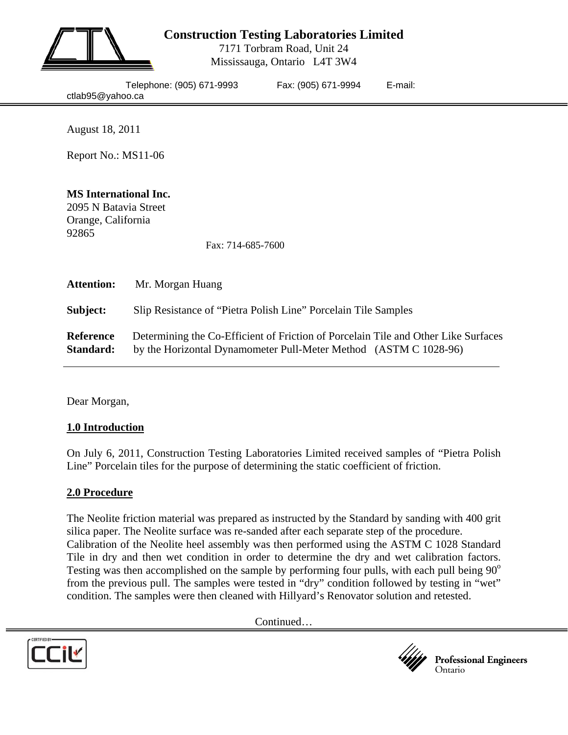

# **Construction Testing Laboratories Limited**

7171 Torbram Road, Unit 24 Mississauga, Ontario L4T 3W4

|                  | Telephone: (905) 671-999 |
|------------------|--------------------------|
| ctlab95@yahoo.ca |                          |

93 Fax: (905) 671-9994 E-mail:

August 18, 2011

Report No.: MS11-06

## **MS International Inc.**

2095 N Batavia Street Orange, California 92865

Fax: 714-685-7600

| <b>Attention:</b>             | Mr. Morgan Huang                                                                                                                                       |
|-------------------------------|--------------------------------------------------------------------------------------------------------------------------------------------------------|
| Subject:                      | Slip Resistance of "Pietra Polish Line" Porcelain Tile Samples                                                                                         |
| <b>Reference</b><br>Standard: | Determining the Co-Efficient of Friction of Porcelain Tile and Other Like Surfaces<br>by the Horizontal Dynamometer Pull-Meter Method (ASTM C 1028-96) |

Dear Morgan,

#### **1.0 Introduction**

On July 6, 2011, Construction Testing Laboratories Limited received samples of "Pietra Polish Line" Porcelain tiles for the purpose of determining the static coefficient of friction.

#### **2.0 Procedure**

The Neolite friction material was prepared as instructed by the Standard by sanding with 400 grit silica paper. The Neolite surface was re-sanded after each separate step of the procedure. Calibration of the Neolite heel assembly was then performed using the ASTM C 1028 Standard Tile in dry and then wet condition in order to determine the dry and wet calibration factors. Testing was then accomplished on the sample by performing four pulls, with each pull being  $90^{\circ}$ from the previous pull. The samples were tested in "dry" condition followed by testing in "wet" condition. The samples were then cleaned with Hillyard's Renovator solution and retested.

Continued…